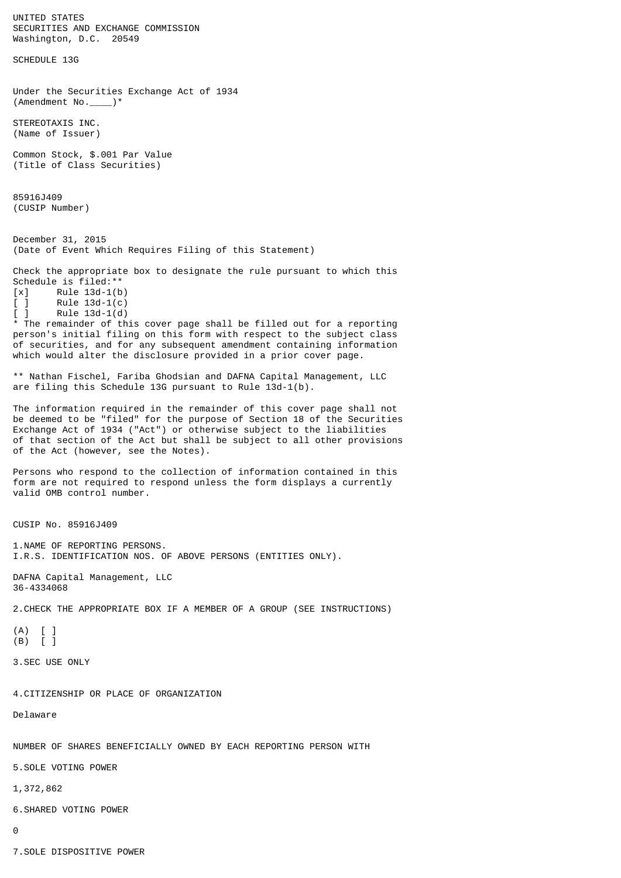UNITED STATES SECURITIES AND EXCHANGE COMMISSION Washington, D.C. 20549 SCHEDULE 13G Under the Securities Exchange Act of 1934 (Amendment No.\_\_\_\_)\* STEREOTAXIS INC. (Name of Issuer) Common Stock, \$.001 Par Value (Title of Class Securities) 85916J409 (CUSIP Number) December 31, 2015 (Date of Event Which Requires Filing of this Statement) Check the appropriate box to designate the rule pursuant to which this Schedule is filed:\*\*  $[x]$  Rule 13d-1(b)<br> $[ ]$  Rule 13d-1(c)  $[ ]$  Rule 13d-1(c)  $[ ]$  Rule 13d-1(d) \* The remainder of this cover page shall be filled out for a reporting person's initial filing on this form with respect to the subject class of securities, and for any subsequent amendment containing information which would alter the disclosure provided in a prior cover page. \*\* Nathan Fischel, Fariba Ghodsian and DAFNA Capital Management, LLC are filing this Schedule 13G pursuant to Rule 13d-1(b). The information required in the remainder of this cover page shall not be deemed to be "filed" for the purpose of Section 18 of the Securities Exchange Act of 1934 ("Act") or otherwise subject to the liabilities of that section of the Act but shall be subject to all other provisions of the Act (however, see the Notes). Persons who respond to the collection of information contained in this form are not required to respond unless the form displays a currently valid OMB control number. CUSIP No. 85916J409 1.NAME OF REPORTING PERSONS. I.R.S. IDENTIFICATION NOS. OF ABOVE PERSONS (ENTITIES ONLY). DAFNA Capital Management, LLC 36-4334068 2.CHECK THE APPROPRIATE BOX IF A MEMBER OF A GROUP (SEE INSTRUCTIONS) (A) [ ] (B) [ ] 3.SEC USE ONLY 4.CITIZENSHIP OR PLACE OF ORGANIZATION Delaware NUMBER OF SHARES BENEFICIALLY OWNED BY EACH REPORTING PERSON WITH 5.SOLE VOTING POWER 1,372,862 6.SHARED VOTING POWER 0

7.SOLE DISPOSITIVE POWER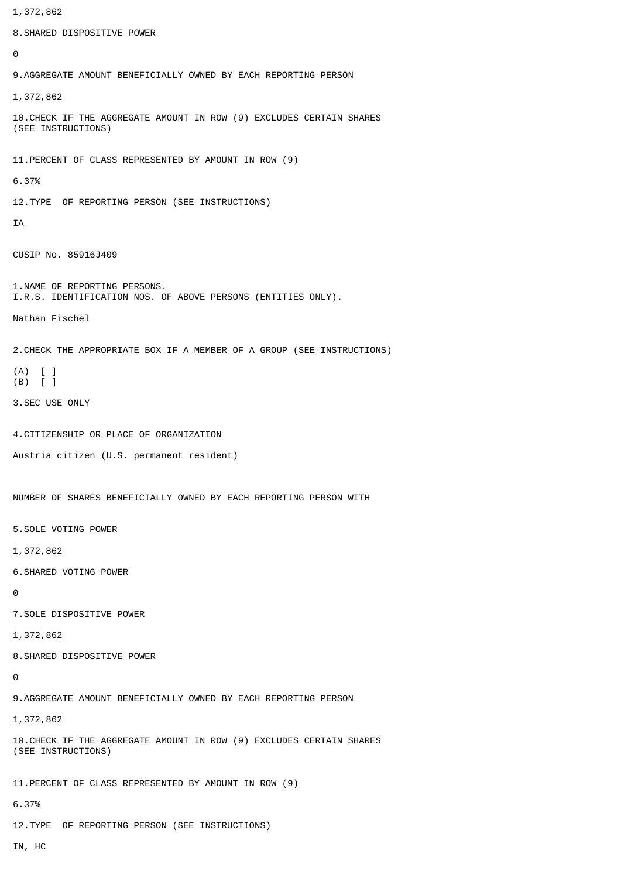1,372,862 8.SHARED DISPOSITIVE POWER  $\Omega$ 9.AGGREGATE AMOUNT BENEFICIALLY OWNED BY EACH REPORTING PERSON 1,372,862 10.CHECK IF THE AGGREGATE AMOUNT IN ROW (9) EXCLUDES CERTAIN SHARES (SEE INSTRUCTIONS) 11.PERCENT OF CLASS REPRESENTED BY AMOUNT IN ROW (9) 6.37% 12.TYPE OF REPORTING PERSON (SEE INSTRUCTIONS) IA CUSIP No. 85916J409 1.NAME OF REPORTING PERSONS. I.R.S. IDENTIFICATION NOS. OF ABOVE PERSONS (ENTITIES ONLY). Nathan Fischel 2.CHECK THE APPROPRIATE BOX IF A MEMBER OF A GROUP (SEE INSTRUCTIONS) (A) [ ] (B) [ ] 3.SEC USE ONLY 4.CITIZENSHIP OR PLACE OF ORGANIZATION Austria citizen (U.S. permanent resident) NUMBER OF SHARES BENEFICIALLY OWNED BY EACH REPORTING PERSON WITH 5.SOLE VOTING POWER 1,372,862 6.SHARED VOTING POWER  $\Omega$ 7.SOLE DISPOSITIVE POWER 1,372,862 8.SHARED DISPOSITIVE POWER  $\Omega$ 9.AGGREGATE AMOUNT BENEFICIALLY OWNED BY EACH REPORTING PERSON 1,372,862 10.CHECK IF THE AGGREGATE AMOUNT IN ROW (9) EXCLUDES CERTAIN SHARES (SEE INSTRUCTIONS) 11.PERCENT OF CLASS REPRESENTED BY AMOUNT IN ROW (9) 6.37% 12.TYPE OF REPORTING PERSON (SEE INSTRUCTIONS) IN, HC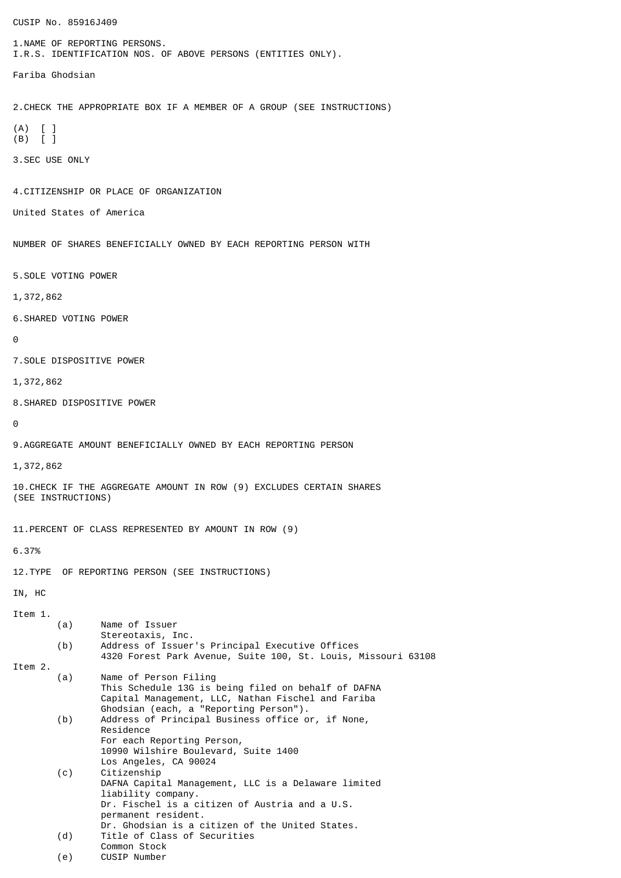CUSIP No. 85916J409 1.NAME OF REPORTING PERSONS. I.R.S. IDENTIFICATION NOS. OF ABOVE PERSONS (ENTITIES ONLY). Fariba Ghodsian 2.CHECK THE APPROPRIATE BOX IF A MEMBER OF A GROUP (SEE INSTRUCTIONS) (A) [ ] (B) [ ] 3.SEC USE ONLY 4.CITIZENSHIP OR PLACE OF ORGANIZATION United States of America NUMBER OF SHARES BENEFICIALLY OWNED BY EACH REPORTING PERSON WITH 5.SOLE VOTING POWER 1,372,862 6.SHARED VOTING POWER  $\Omega$ 7.SOLE DISPOSITIVE POWER 1,372,862 8.SHARED DISPOSITIVE POWER  $\boldsymbol{\Theta}$ 9.AGGREGATE AMOUNT BENEFICIALLY OWNED BY EACH REPORTING PERSON 1,372,862 10.CHECK IF THE AGGREGATE AMOUNT IN ROW (9) EXCLUDES CERTAIN SHARES (SEE INSTRUCTIONS) 11.PERCENT OF CLASS REPRESENTED BY AMOUNT IN ROW (9) 6.37% 12.TYPE OF REPORTING PERSON (SEE INSTRUCTIONS) IN, HC Item 1. (a) Name of Issuer Stereotaxis, Inc. (b) Address of Issuer's Principal Executive Offices 4320 Forest Park Avenue, Suite 100, St. Louis, Missouri 63108 Item 2. (a) Name of Person Filing This Schedule 13G is being filed on behalf of DAFNA Capital Management, LLC, Nathan Fischel and Fariba Ghodsian (each, a "Reporting Person"). (b) Address of Principal Business office or, if None, Residence For each Reporting Person, 10990 Wilshire Boulevard, Suite 1400 Los Angeles, CA 90024 (c) Citizenship DAFNA Capital Management, LLC is a Delaware limited liability company. Dr. Fischel is a citizen of Austria and a U.S. permanent resident. Dr. Ghodsian is a citizen of the United States. (d) Title of Class of Securities Common Stock (e) CUSIP Number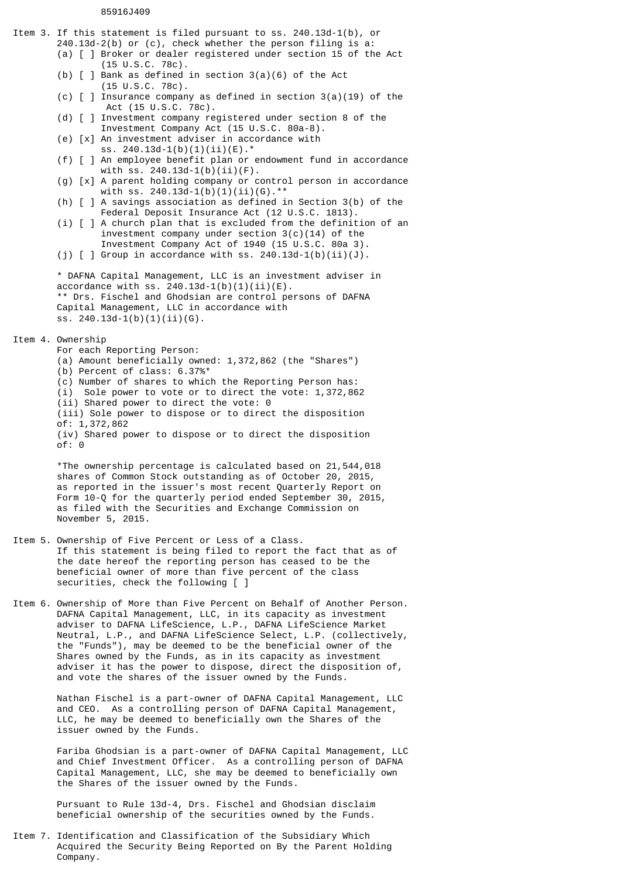## 85916J409

Item 3. If this statement is filed pursuant to ss. 240.13d-1(b), or 240.13d-2(b) or (c), check whether the person filing is a: (a) [ ] Broker or dealer registered under section 15 of the Act (15 U.S.C. 78c). (b)  $\lceil$   $\rceil$  Bank as defined in section 3(a)(6) of the Act (15 U.S.C. 78c). (c)  $\lceil$   $\rceil$  Insurance company as defined in section 3(a)(19) of the Act (15 U.S.C. 78c). (d) [ ] Investment company registered under section 8 of the Investment Company Act (15 U.S.C. 80a-8). (e) [x] An investment adviser in accordance with ss. 240.13d-1(b)(1)(ii)(E).\* (f) [ ] An employee benefit plan or endowment fund in accordance with ss. 240.13d-1(b)(ii)(F). (g) [x] A parent holding company or control person in accordance with ss. 240.13d-1(b)(1)(ii)(G).\*\* (h) [ ] A savings association as defined in Section 3(b) of the Federal Deposit Insurance Act (12 U.S.C. 1813). (i)  $\lceil$   $\rceil$  A church plan that is excluded from the definition of an investment company under section 3(c)(14) of the Investment Company Act of 1940 (15 U.S.C. 80a 3). (j)  $[ ]$  Group in accordance with ss. 240.13d-1(b)(ii)(J). \* DAFNA Capital Management, LLC is an investment adviser in accordance with ss. 240.13d-1(b)(1)(ii)(E). \*\* Drs. Fischel and Ghodsian are control persons of DAFNA Capital Management, LLC in accordance with ss. 240.13d-1(b)(1)(ii)(G). Item 4. Ownership For each Reporting Person: (a) Amount beneficially owned: 1,372,862 (the "Shares") (b) Percent of class: 6.37%\* (c) Number of shares to which the Reporting Person has: (i) Sole power to vote or to direct the vote: 1,372,862 (ii) Shared power to direct the vote: 0 (iii) Sole power to dispose or to direct the disposition of: 1,372,862 (iv) Shared power to dispose or to direct the disposition of: 0 \*The ownership percentage is calculated based on 21,544,018 shares of Common Stock outstanding as of October 20, 2015, as reported in the issuer's most recent Quarterly Report on Form 10-Q for the quarterly period ended September 30, 2015, as filed with the Securities and Exchange Commission on November 5, 2015. Item 5. Ownership of Five Percent or Less of a Class. If this statement is being filed to report the fact that as of the date hereof the reporting person has ceased to be the beneficial owner of more than five percent of the class securities, check the following [ ] Item 6. Ownership of More than Five Percent on Behalf of Another Person. DAFNA Capital Management, LLC, in its capacity as investment adviser to DAFNA LifeScience, L.P., DAFNA LifeScience Market Neutral, L.P., and DAFNA LifeScience Select, L.P. (collectively, the "Funds"), may be deemed to be the beneficial owner of the Shares owned by the Funds, as in its capacity as investment adviser it has the power to dispose, direct the disposition of, and vote the shares of the issuer owned by the Funds.

> Nathan Fischel is a part-owner of DAFNA Capital Management, LLC and CEO. As a controlling person of DAFNA Capital Management, LLC, he may be deemed to beneficially own the Shares of the issuer owned by the Funds.

Fariba Ghodsian is a part-owner of DAFNA Capital Management, LLC and Chief Investment Officer. As a controlling person of DAFNA Capital Management, LLC, she may be deemed to beneficially own the Shares of the issuer owned by the Funds.

Pursuant to Rule 13d-4, Drs. Fischel and Ghodsian disclaim beneficial ownership of the securities owned by the Funds.

Item 7. Identification and Classification of the Subsidiary Which Acquired the Security Being Reported on By the Parent Holding Company.